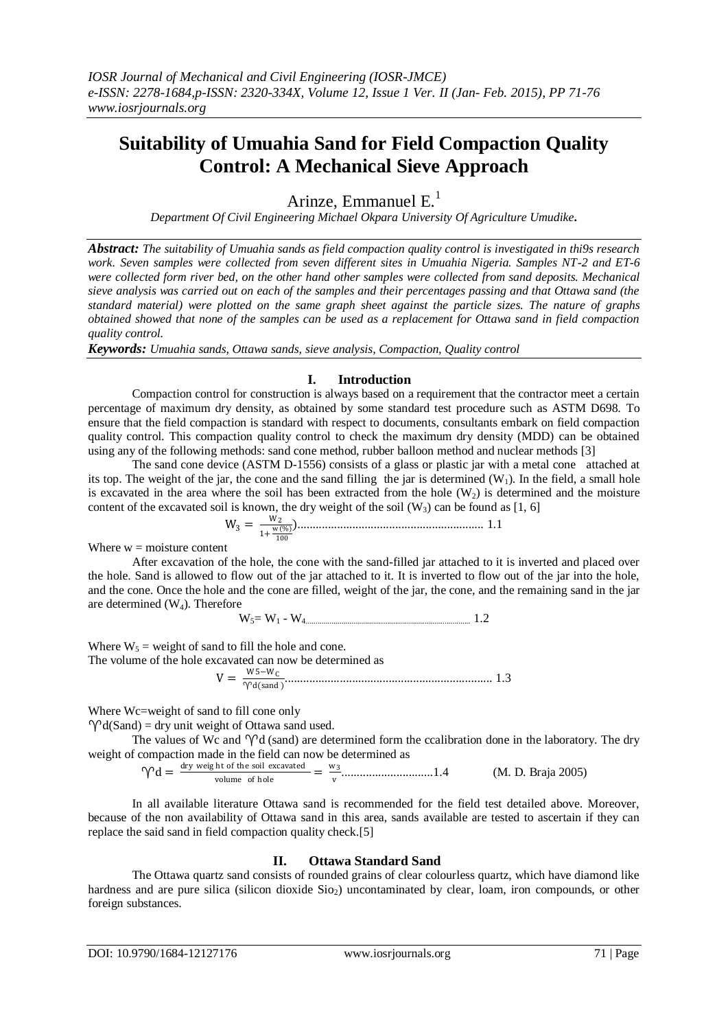# **Suitability of Umuahia Sand for Field Compaction Quality Control: A Mechanical Sieve Approach**

Arinze, Emmanuel  $E<sup>1</sup>$ 

*Department Of Civil Engineering Michael Okpara University Of Agriculture Umudike***.** 

*Abstract: The suitability of Umuahia sands as field compaction quality control is investigated in thi9s research work. Seven samples were collected from seven different sites in Umuahia Nigeria. Samples NT-2 and ET-6 were collected form river bed, on the other hand other samples were collected from sand deposits. Mechanical sieve analysis was carried out on each of the samples and their percentages passing and that Ottawa sand (the standard material) were plotted on the same graph sheet against the particle sizes. The nature of graphs obtained showed that none of the samples can be used as a replacement for Ottawa sand in field compaction quality control.* 

*Keywords: Umuahia sands, Ottawa sands, sieve analysis, Compaction, Quality control*

## **I. Introduction**

Compaction control for construction is always based on a requirement that the contractor meet a certain percentage of maximum dry density, as obtained by some standard test procedure such as ASTM D698. To ensure that the field compaction is standard with respect to documents, consultants embark on field compaction quality control. This compaction quality control to check the maximum dry density (MDD) can be obtained using any of the following methods: sand cone method, rubber balloon method and nuclear methods [3]

The sand cone device (ASTM D-1556) consists of a glass or plastic jar with a metal cone attached at its top. The weight of the jar, the cone and the sand filling the jar is determined  $(W_1)$ . In the field, a small hole is excavated in the area where the soil has been extracted from the hole  $(W_2)$  is determined and the moisture content of the excavated soil is known, the dry weight of the soil  $(W_3)$  can be found as [1, 6]

$$
W_3 = \frac{w_2}{1 + \frac{w(0.0)}{100}}
$$
................. 1.1

Where  $w =$  moisture content

After excavation of the hole, the cone with the sand-filled jar attached to it is inverted and placed over the hole. Sand is allowed to flow out of the jar attached to it. It is inverted to flow out of the jar into the hole, and the cone. Once the hole and the cone are filled, weight of the jar, the cone, and the remaining sand in the jar are determined  $(W_4)$ . Therefore

 $W_5 = W_1 - W_4$  1.2

Where  $W_5$  = weight of sand to fill the hole and cone. The volume of the hole ex

$$
V = \frac{w_5 - w_C}{\gamma_{d(sand)}^2}
$$
................. 1.3

Where Wc=weight of sand to fill cone only

 $\gamma d(Sand) = dry$  unit weight of Ottawa sand used.

The values of Wc and  $\gamma d$  (sand) are determined form the ccalibration done in the laboratory. The dry weight of compaction made in the field can now be determined as

 $\gamma d = \frac{dry \text{ weight of the soil excavated}}{volume \text{ of hole}}$  $\frac{\text{ht of the soil excavated}}{\text{volume of hole}} = \frac{w_3}{v}$ v ..............................1.4 (M. D. Braja 2005)

In all available literature Ottawa sand is recommended for the field test detailed above. Moreover, because of the non availability of Ottawa sand in this area, sands available are tested to ascertain if they can replace the said sand in field compaction quality check.[5]

## **II. Ottawa Standard Sand**

The Ottawa quartz sand consists of rounded grains of clear colourless quartz, which have diamond like hardness and are pure silica (silicon dioxide Sio<sub>2</sub>) uncontaminated by clear, loam, iron compounds, or other foreign substances.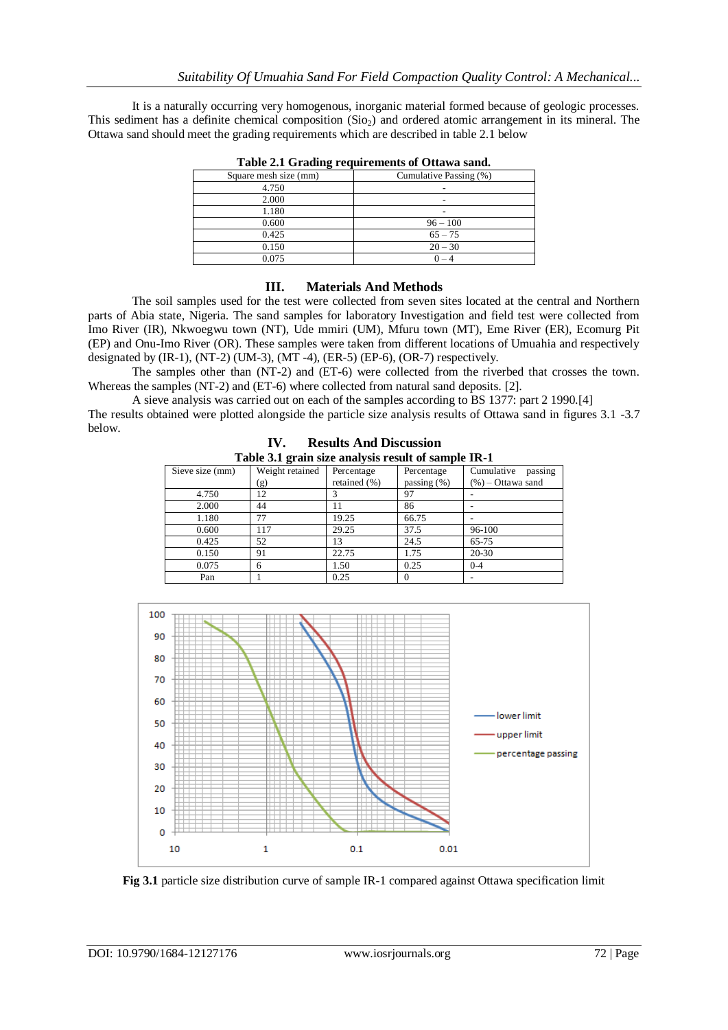It is a naturally occurring very homogenous, inorganic material formed because of geologic processes. This sediment has a definite chemical composition  $(Sio<sub>2</sub>)$  and ordered atomic arrangement in its mineral. The Ottawa sand should meet the grading requirements which are described in table 2.1 below

| Table 2.1 Graunig requirements of Ottawa sand. |                        |  |  |  |
|------------------------------------------------|------------------------|--|--|--|
| Square mesh size (mm)                          | Cumulative Passing (%) |  |  |  |
| 4.750                                          |                        |  |  |  |
| 2.000                                          |                        |  |  |  |
| 1.180                                          |                        |  |  |  |
| 0.600                                          | $96 - 100$             |  |  |  |
| 0.425                                          | $65 - 75$              |  |  |  |
| 0.150                                          | $20 - 30$              |  |  |  |
| 0.075                                          | $0 - 4$                |  |  |  |

**Table 2.1 Grading requirements of Ottawa sand.**

## **III. Materials And Methods**

The soil samples used for the test were collected from seven sites located at the central and Northern parts of Abia state, Nigeria. The sand samples for laboratory Investigation and field test were collected from Imo River (IR), Nkwoegwu town (NT), Ude mmiri (UM), Mfuru town (MT), Eme River (ER), Ecomurg Pit (EP) and Onu-Imo River (OR). These samples were taken from different locations of Umuahia and respectively designated by  $(IR-1)$ ,  $(NT-2)$   $(UM-3)$ ,  $(MT-4)$ ,  $(ER-5)$   $(EP-6)$ ,  $(OR-7)$  respectively.

The samples other than (NT-2) and (ET-6) were collected from the riverbed that crosses the town. Whereas the samples (NT-2) and (ET-6) where collected from natural sand deposits. [2].

A sieve analysis was carried out on each of the samples according to BS 1377: part 2 1990.[4]

The results obtained were plotted alongside the particle size analysis results of Ottawa sand in figures 3.1 -3.7 below.

|                                                     | $\mathbf{IV}_{\text{-}}$ | <b>Results And Discussion</b> |                |                       |  |  |
|-----------------------------------------------------|--------------------------|-------------------------------|----------------|-----------------------|--|--|
| Table 3.1 grain size analysis result of sample IR-1 |                          |                               |                |                       |  |  |
| Sieve size (mm)                                     | Weight retained          | Percentage                    | Percentage     | passing<br>Cumulative |  |  |
|                                                     | (g)                      | retained (%)                  | passing $(\%)$ | $(\% )$ – Ottawa sand |  |  |
| 4.750                                               | 12                       |                               | 97             |                       |  |  |
| 2.000                                               | 44                       |                               | 86             |                       |  |  |
| 1.180                                               | 77                       | 19.25                         | 66.75          |                       |  |  |
| 0.600                                               | 117                      | 29.25                         | 37.5           | 96-100                |  |  |
| 0.425                                               | 52                       | 13                            | 24.5           | 65-75                 |  |  |
| 0.150                                               | 91                       | 22.75                         | 1.75           | 20-30                 |  |  |
| 0.075                                               | 6                        | 1.50                          | 0.25           | $0 - 4$               |  |  |
| Pan                                                 |                          | 0.25                          |                |                       |  |  |

Pan | 1 0.25 | 0  $-$ 



**Fig 3.1** particle size distribution curve of sample IR-1 compared against Ottawa specification limit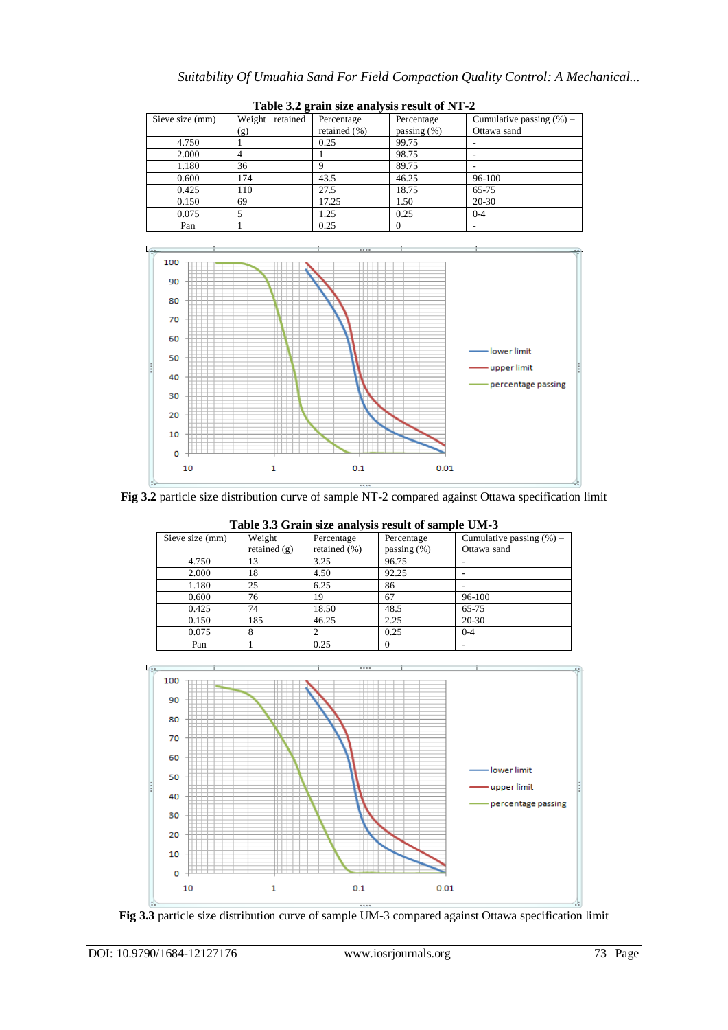| $2.00044$ $0.044$ $0.0004$ $0.0004$ $0.0004$ $0.0004$ $0.0004$ $0.0004$ |                 |              |                |                             |  |  |
|-------------------------------------------------------------------------|-----------------|--------------|----------------|-----------------------------|--|--|
| Sieve size (mm)                                                         | Weight retained | Percentage   | Percentage     | Cumulative passing $(\%)$ – |  |  |
|                                                                         | (g)             | retained (%) | passing $(\%)$ | Ottawa sand                 |  |  |
| 4.750                                                                   |                 | 0.25         | 99.75          |                             |  |  |
| 2.000                                                                   | 4               |              | 98.75          | $\overline{\phantom{a}}$    |  |  |
| 1.180                                                                   | 36              |              | 89.75          |                             |  |  |
| 0.600                                                                   | 174             | 43.5         | 46.25          | 96-100                      |  |  |
| 0.425                                                                   | 110             | 27.5         | 18.75          | 65-75                       |  |  |
| 0.150                                                                   | 69              | 17.25        | 1.50           | 20-30                       |  |  |
| 0.075                                                                   |                 | 1.25         | 0.25           | $0 - 4$                     |  |  |
| Pan                                                                     |                 | 0.25         |                |                             |  |  |

|  |  | Table 3.2 grain size analysis result of NT-2 |  |  |
|--|--|----------------------------------------------|--|--|
|  |  |                                              |  |  |



**Fig 3.2** particle size distribution curve of sample NT-2 compared against Ottawa specification limit

|                 | Lable 5.5 Grain size analysis result of sample Civi-5 |                  |                |                             |  |  |  |
|-----------------|-------------------------------------------------------|------------------|----------------|-----------------------------|--|--|--|
| Sieve size (mm) | Weight                                                | Percentage       | Percentage     | Cumulative passing $(\%)$ – |  |  |  |
|                 | retained $(g)$                                        | retained $(\% )$ | passing $(\%)$ | Ottawa sand                 |  |  |  |
| 4.750           | 13                                                    | 3.25             | 96.75          |                             |  |  |  |
| 2.000           | 18                                                    | 4.50             | 92.25          |                             |  |  |  |
| 1.180           | 25                                                    | 6.25             | 86             |                             |  |  |  |
| 0.600           | 76                                                    | 19               | 67             | 96-100                      |  |  |  |
| 0.425           | 74                                                    | 18.50            | 48.5           | 65-75                       |  |  |  |
| 0.150           | 185                                                   | 46.25            | 2.25           | 20-30                       |  |  |  |
| 0.075           | 8                                                     |                  | 0.25           | $0 - 4$                     |  |  |  |
| Pan             |                                                       | 0.25             |                |                             |  |  |  |

**Table 3.3 Grain size analysis result of sample UM-3**



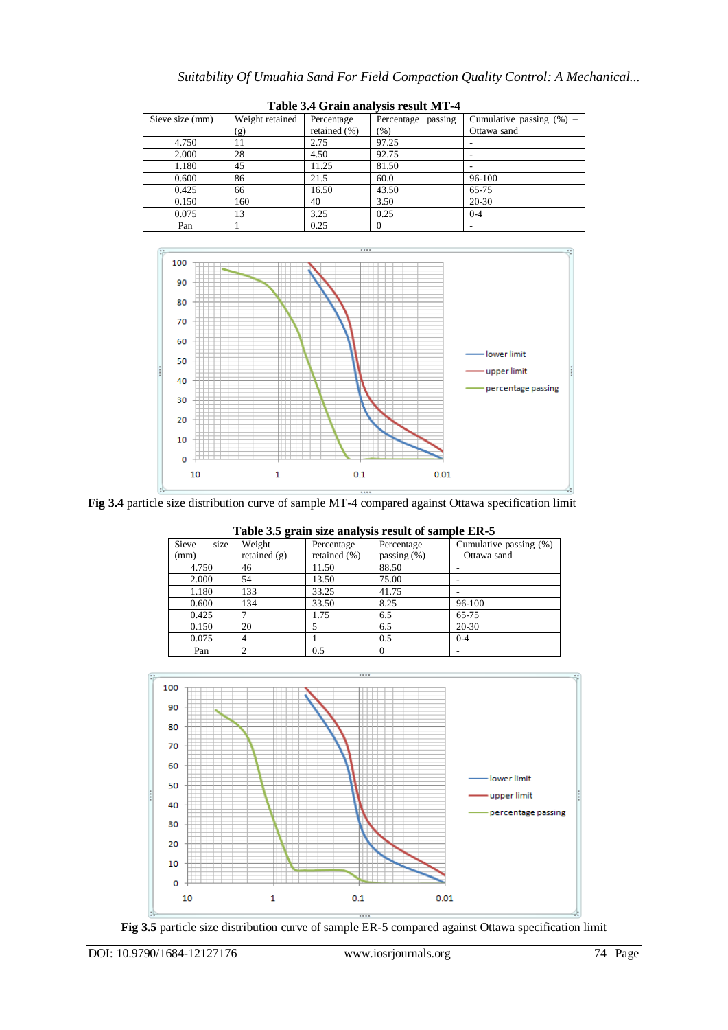| Tuble of Gruin analysis result in T |                 |                  |                    |                             |  |  |
|-------------------------------------|-----------------|------------------|--------------------|-----------------------------|--|--|
| Sieve size (mm)                     | Weight retained | Percentage       | Percentage passing | Cumulative passing $(\%)$ – |  |  |
|                                     | (g)             | retained $(\% )$ | (% )               | Ottawa sand                 |  |  |
| 4.750                               | 11              | 2.75             | 97.25              |                             |  |  |
| 2.000                               | 28              | 4.50             | 92.75              |                             |  |  |
| 1.180                               | 45              | 11.25            | 81.50              |                             |  |  |
| 0.600                               | 86              | 21.5             | 60.0               | 96-100                      |  |  |
| 0.425                               | 66              | 16.50            | 43.50              | 65-75                       |  |  |
| 0.150                               | 160             | 40               | 3.50               | $20 - 30$                   |  |  |
| 0.075                               | 13              | 3.25             | 0.25               | $0 - 4$                     |  |  |
| Pan                                 |                 | 0.25             | 0                  |                             |  |  |





**Fig 3.4** particle size distribution curve of sample MT-4 compared against Ottawa specification limit

|               | Twore one greate plus eller, plus repeat of periodic mark o |              |                |                        |  |  |  |
|---------------|-------------------------------------------------------------|--------------|----------------|------------------------|--|--|--|
| Sieve<br>size | Weight                                                      | Percentage   | Percentage     | Cumulative passing (%) |  |  |  |
| (mm)          | retained $(g)$                                              | retained (%) | passing $(\%)$ | - Ottawa sand          |  |  |  |
| 4.750         | 46                                                          | 11.50        | 88.50          |                        |  |  |  |
| 2.000         | 54                                                          | 13.50        | 75.00          |                        |  |  |  |
| 1.180         | 133                                                         | 33.25        | 41.75          |                        |  |  |  |
| 0.600         | 134                                                         | 33.50        | 8.25           | 96-100                 |  |  |  |
| 0.425         |                                                             | 1.75         | 6.5            | 65-75                  |  |  |  |
| 0.150         | 20                                                          |              | 6.5            | $20 - 30$              |  |  |  |
| 0.075         | 4                                                           |              | 0.5            | $0 - 4$                |  |  |  |
| Pan           |                                                             | 0.5          |                |                        |  |  |  |

**Table 3.5 grain size analysis result of sample ER-5**



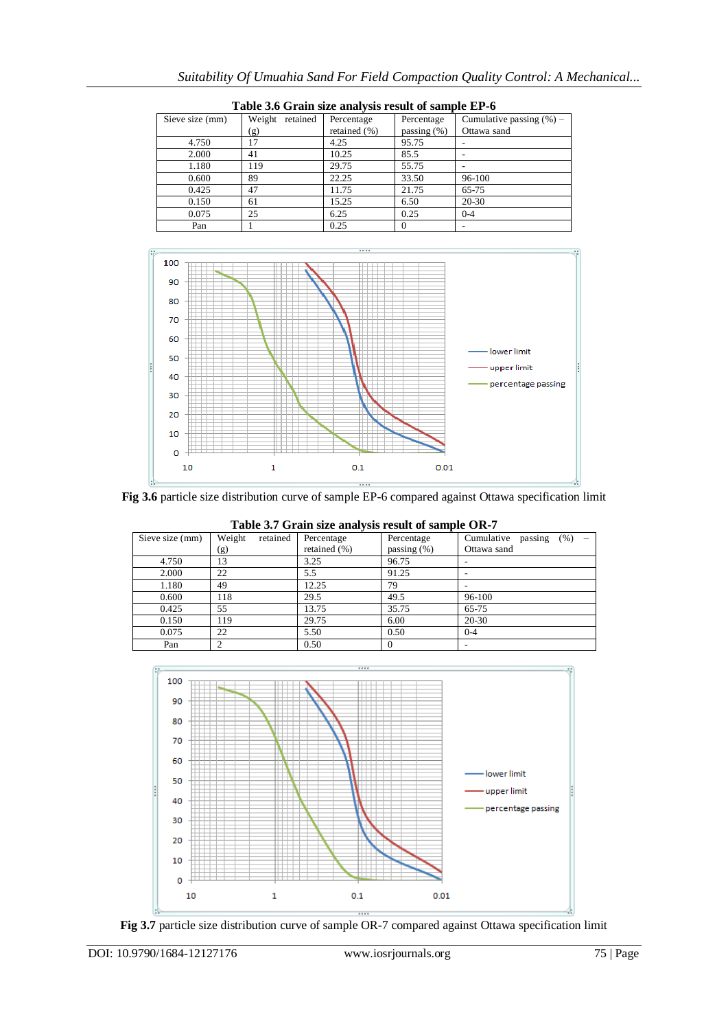| Table 5.0 Grain size analysis result of sample El -0 |                 |                 |                  |                |                             |  |
|------------------------------------------------------|-----------------|-----------------|------------------|----------------|-----------------------------|--|
|                                                      | Sieve size (mm) | Weight retained | Percentage       | Percentage     | Cumulative passing $(\%)$ – |  |
|                                                      |                 | (g)             | retained $(\% )$ | passing $(\%)$ | Ottawa sand                 |  |
|                                                      | 4.750           | 17              | 4.25             | 95.75          |                             |  |
|                                                      | 2.000           | 41              | 10.25            | 85.5           |                             |  |
|                                                      | 1.180           | 119             | 29.75            | 55.75          |                             |  |
|                                                      | 0.600           | 89              | 22.25            | 33.50          | 96-100                      |  |
|                                                      | 0.425           | 47              | 11.75            | 21.75          | 65-75                       |  |
|                                                      | 0.150           | 61              | 15.25            | 6.50           | 20-30                       |  |
|                                                      | 0.075           | 25              | 6.25             | 0.25           | $0 - 4$                     |  |
|                                                      | Pan             |                 | 0.25             |                |                             |  |



**Fig 3.6** particle size distribution curve of sample EP-6 compared against Ottawa specification limit

|                 | Table 3.7 Grain size analysis result of sample OR-7 |                            |                              |                                              |  |  |
|-----------------|-----------------------------------------------------|----------------------------|------------------------------|----------------------------------------------|--|--|
| Sieve size (mm) | Weight<br>retained                                  | Percentage<br>retained (%) | Percentage<br>passing $(\%)$ | (% )<br>Cumulative<br>passing<br>Ottawa sand |  |  |
|                 | (g)                                                 |                            |                              |                                              |  |  |
| 4.750           | 13                                                  | 3.25                       | 96.75                        |                                              |  |  |
| 2.000           | 22                                                  | 5.5                        | 91.25                        |                                              |  |  |
| 1.180           | 49                                                  | 12.25                      | 79                           |                                              |  |  |
| 0.600           | 118                                                 | 29.5                       | 49.5                         | 96-100                                       |  |  |
| 0.425           | 55                                                  | 13.75                      | 35.75                        | 65-75                                        |  |  |
| 0.150           | 119                                                 | 29.75                      | 6.00                         | $20 - 30$                                    |  |  |
| 0.075           | 22                                                  | 5.50                       | 0.50                         | $0 - 4$                                      |  |  |
| Pan             |                                                     | 0.50                       |                              |                                              |  |  |

**Table 3.7 Grain size analysis result of sample OR-7**